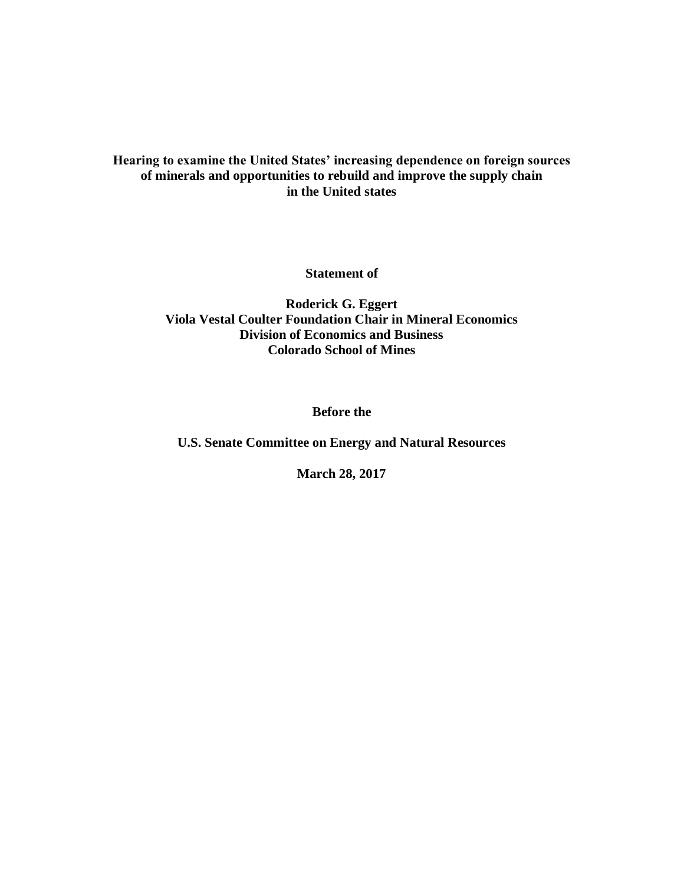## **Hearing to examine the United States' increasing dependence on foreign sources of minerals and opportunities to rebuild and improve the supply chain in the United states**

**Statement of**

**Roderick G. Eggert Viola Vestal Coulter Foundation Chair in Mineral Economics Division of Economics and Business Colorado School of Mines**

**Before the**

**U.S. Senate Committee on Energy and Natural Resources**

**March 28, 2017**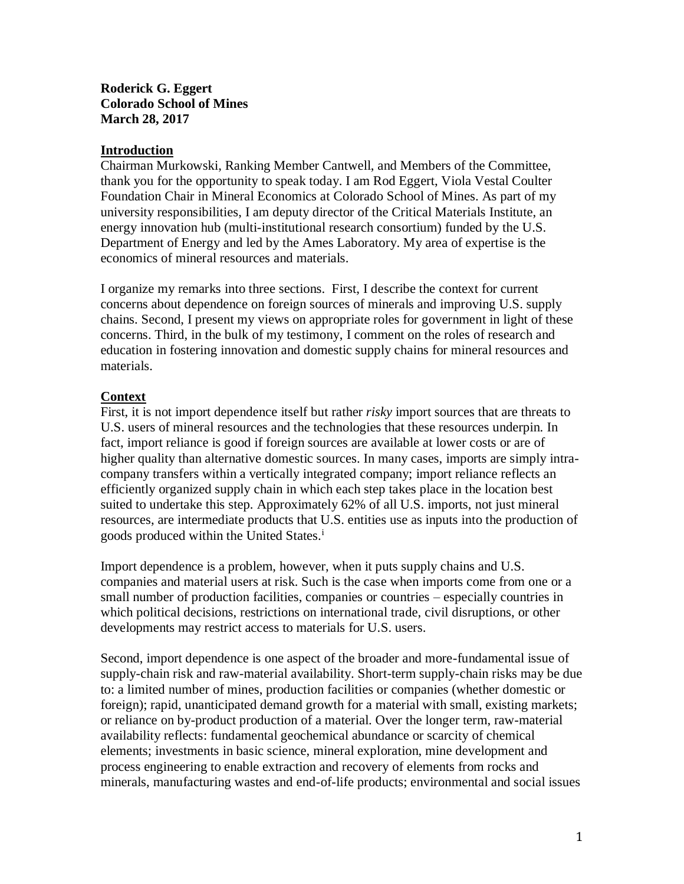## **Roderick G. Eggert Colorado School of Mines March 28, 2017**

## **Introduction**

Chairman Murkowski, Ranking Member Cantwell, and Members of the Committee, thank you for the opportunity to speak today. I am Rod Eggert, Viola Vestal Coulter Foundation Chair in Mineral Economics at Colorado School of Mines. As part of my university responsibilities, I am deputy director of the Critical Materials Institute, an energy innovation hub (multi-institutional research consortium) funded by the U.S. Department of Energy and led by the Ames Laboratory. My area of expertise is the economics of mineral resources and materials.

I organize my remarks into three sections. First, I describe the context for current concerns about dependence on foreign sources of minerals and improving U.S. supply chains. Second, I present my views on appropriate roles for government in light of these concerns. Third, in the bulk of my testimony, I comment on the roles of research and education in fostering innovation and domestic supply chains for mineral resources and materials.

## **Context**

First, it is not import dependence itself but rather *risky* import sources that are threats to U.S. users of mineral resources and the technologies that these resources underpin. In fact, import reliance is good if foreign sources are available at lower costs or are of higher quality than alternative domestic sources. In many cases, imports are simply intracompany transfers within a vertically integrated company; import reliance reflects an efficiently organized supply chain in which each step takes place in the location best suited to undertake this step. Approximately 62% of all U.S. imports, not just mineral resources, are intermediate products that U.S. entities use as inputs into the production of goods produced within the United States.<sup>i</sup>

Import dependence is a problem, however, when it puts supply chains and U.S. companies and material users at risk. Such is the case when imports come from one or a small number of production facilities, companies or countries – especially countries in which political decisions, restrictions on international trade, civil disruptions, or other developments may restrict access to materials for U.S. users.

Second, import dependence is one aspect of the broader and more-fundamental issue of supply-chain risk and raw-material availability. Short-term supply-chain risks may be due to: a limited number of mines, production facilities or companies (whether domestic or foreign); rapid, unanticipated demand growth for a material with small, existing markets; or reliance on by-product production of a material. Over the longer term, raw-material availability reflects: fundamental geochemical abundance or scarcity of chemical elements; investments in basic science, mineral exploration, mine development and process engineering to enable extraction and recovery of elements from rocks and minerals, manufacturing wastes and end-of-life products; environmental and social issues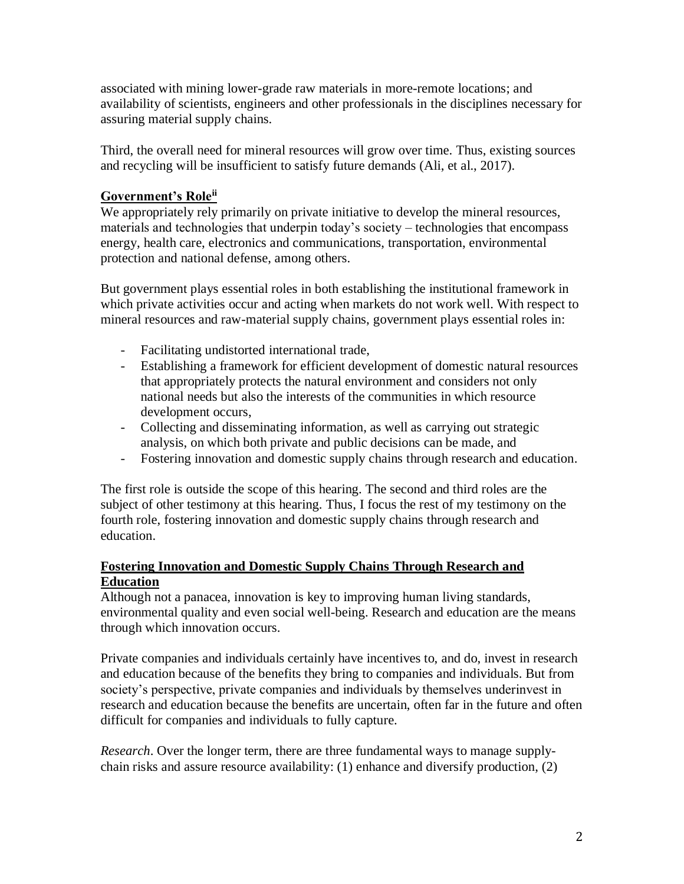associated with mining lower-grade raw materials in more-remote locations; and availability of scientists, engineers and other professionals in the disciplines necessary for assuring material supply chains.

Third, the overall need for mineral resources will grow over time. Thus, existing sources and recycling will be insufficient to satisfy future demands (Ali, et al., 2017).

# **Government's Roleii**

We appropriately rely primarily on private initiative to develop the mineral resources, materials and technologies that underpin today's society – technologies that encompass energy, health care, electronics and communications, transportation, environmental protection and national defense, among others.

But government plays essential roles in both establishing the institutional framework in which private activities occur and acting when markets do not work well. With respect to mineral resources and raw-material supply chains, government plays essential roles in:

- Facilitating undistorted international trade,
- Establishing a framework for efficient development of domestic natural resources that appropriately protects the natural environment and considers not only national needs but also the interests of the communities in which resource development occurs,
- Collecting and disseminating information, as well as carrying out strategic analysis, on which both private and public decisions can be made, and
- Fostering innovation and domestic supply chains through research and education.

The first role is outside the scope of this hearing. The second and third roles are the subject of other testimony at this hearing. Thus, I focus the rest of my testimony on the fourth role, fostering innovation and domestic supply chains through research and education.

## **Fostering Innovation and Domestic Supply Chains Through Research and Education**

Although not a panacea, innovation is key to improving human living standards, environmental quality and even social well-being. Research and education are the means through which innovation occurs.

Private companies and individuals certainly have incentives to, and do, invest in research and education because of the benefits they bring to companies and individuals. But from society's perspective, private companies and individuals by themselves underinvest in research and education because the benefits are uncertain, often far in the future and often difficult for companies and individuals to fully capture.

*Research*. Over the longer term, there are three fundamental ways to manage supplychain risks and assure resource availability: (1) enhance and diversify production, (2)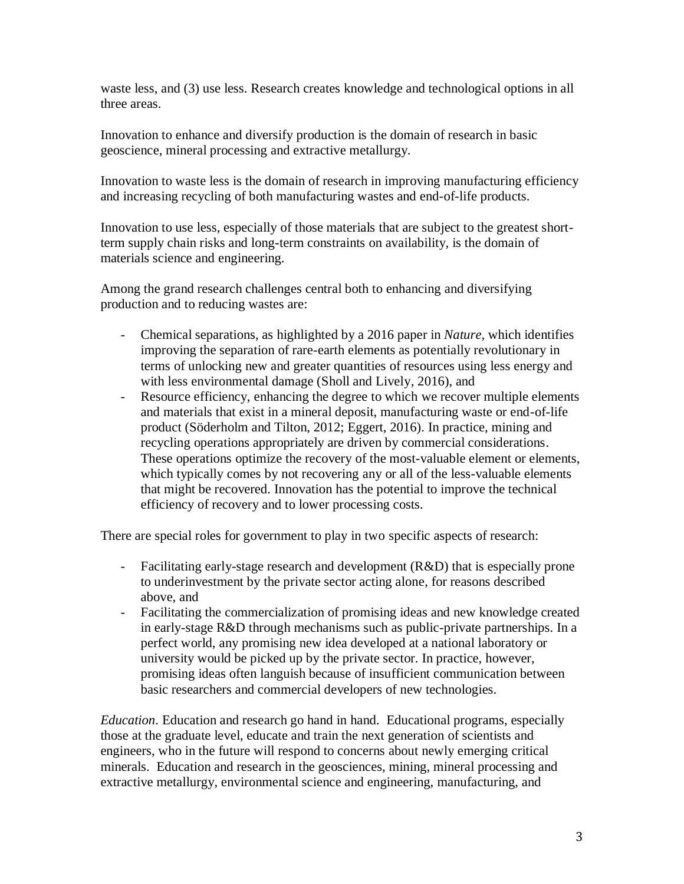waste less, and (3) use less. Research creates knowledge and technological options in all three areas.

Innovation to enhance and diversify production is the domain of research in basic geoscience, mineral processing and extractive metallurgy.

Innovation to waste less is the domain of research in improving manufacturing efficiency and increasing recycling of both manufacturing wastes and end-of-life products.

Innovation to use less, especially of those materials that are subject to the greatest shortterm supply chain risks and long-term constraints on availability, is the domain of materials science and engineering.

Among the grand research challenges central both to enhancing and diversifying production and to reducing wastes are:

- Chemical separations, as highlighted by a 2016 paper in *Nature,* which identifies improving the separation of rare-earth elements as potentially revolutionary in terms of unlocking new and greater quantities of resources using less energy and with less environmental damage (Sholl and Lively, 2016), and
- Resource efficiency, enhancing the degree to which we recover multiple elements and materials that exist in a mineral deposit, manufacturing waste or end-of-life product (Söderholm and Tilton, 2012; Eggert, 2016). In practice, mining and recycling operations appropriately are driven by commercial considerations. These operations optimize the recovery of the most-valuable element or elements, which typically comes by not recovering any or all of the less-valuable elements that might be recovered. Innovation has the potential to improve the technical efficiency of recovery and to lower processing costs.

There are special roles for government to play in two specific aspects of research:

- Facilitating early-stage research and development (R&D) that is especially prone to underinvestment by the private sector acting alone, for reasons described above, and
- Facilitating the commercialization of promising ideas and new knowledge created in early-stage R&D through mechanisms such as public-private partnerships. In a perfect world, any promising new idea developed at a national laboratory or university would be picked up by the private sector. In practice, however, promising ideas often languish because of insufficient communication between basic researchers and commercial developers of new technologies.

*Education*. Education and research go hand in hand. Educational programs, especially those at the graduate level, educate and train the next generation of scientists and engineers, who in the future will respond to concerns about newly emerging critical minerals. Education and research in the geosciences, mining, mineral processing and extractive metallurgy, environmental science and engineering, manufacturing, and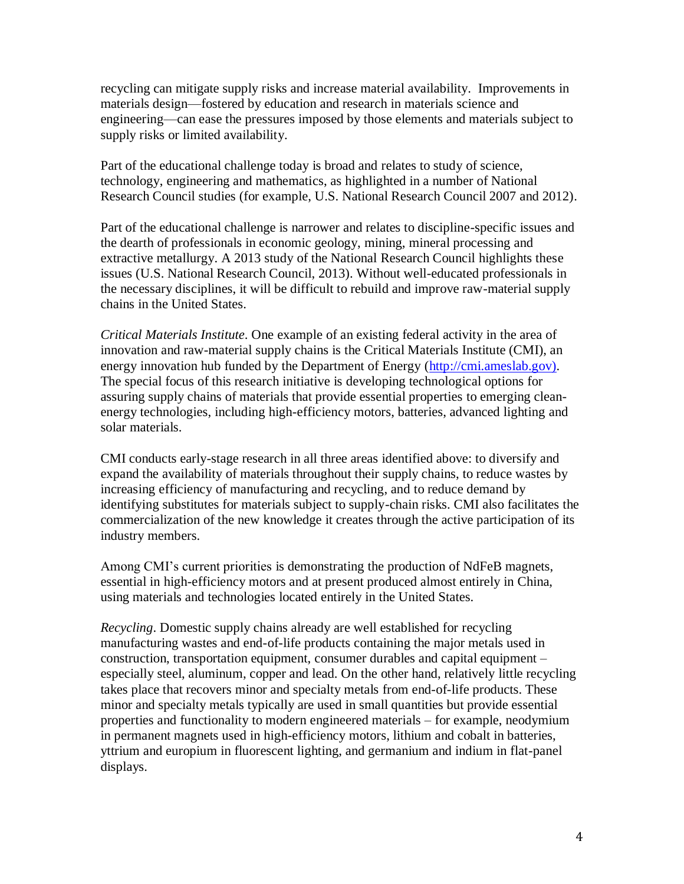recycling can mitigate supply risks and increase material availability. Improvements in materials design—fostered by education and research in materials science and engineering—can ease the pressures imposed by those elements and materials subject to supply risks or limited availability.

Part of the educational challenge today is broad and relates to study of science, technology, engineering and mathematics, as highlighted in a number of National Research Council studies (for example, U.S. National Research Council 2007 and 2012).

Part of the educational challenge is narrower and relates to discipline-specific issues and the dearth of professionals in economic geology, mining, mineral processing and extractive metallurgy. A 2013 study of the National Research Council highlights these issues (U.S. National Research Council, 2013). Without well-educated professionals in the necessary disciplines, it will be difficult to rebuild and improve raw-material supply chains in the United States.

*Critical Materials Institute*. One example of an existing federal activity in the area of innovation and raw-material supply chains is the Critical Materials Institute (CMI), an energy innovation hub funded by the Department of Energy [\(http://cmi.ameslab.gov\).](http://cmi.ameslab.gov)/) The special focus of this research initiative is developing technological options for assuring supply chains of materials that provide essential properties to emerging cleanenergy technologies, including high-efficiency motors, batteries, advanced lighting and solar materials.

CMI conducts early-stage research in all three areas identified above: to diversify and expand the availability of materials throughout their supply chains, to reduce wastes by increasing efficiency of manufacturing and recycling, and to reduce demand by identifying substitutes for materials subject to supply-chain risks. CMI also facilitates the commercialization of the new knowledge it creates through the active participation of its industry members.

Among CMI's current priorities is demonstrating the production of NdFeB magnets, essential in high-efficiency motors and at present produced almost entirely in China, using materials and technologies located entirely in the United States.

*Recycling*. Domestic supply chains already are well established for recycling manufacturing wastes and end-of-life products containing the major metals used in construction, transportation equipment, consumer durables and capital equipment – especially steel, aluminum, copper and lead. On the other hand, relatively little recycling takes place that recovers minor and specialty metals from end-of-life products. These minor and specialty metals typically are used in small quantities but provide essential properties and functionality to modern engineered materials – for example, neodymium in permanent magnets used in high-efficiency motors, lithium and cobalt in batteries, yttrium and europium in fluorescent lighting, and germanium and indium in flat-panel displays.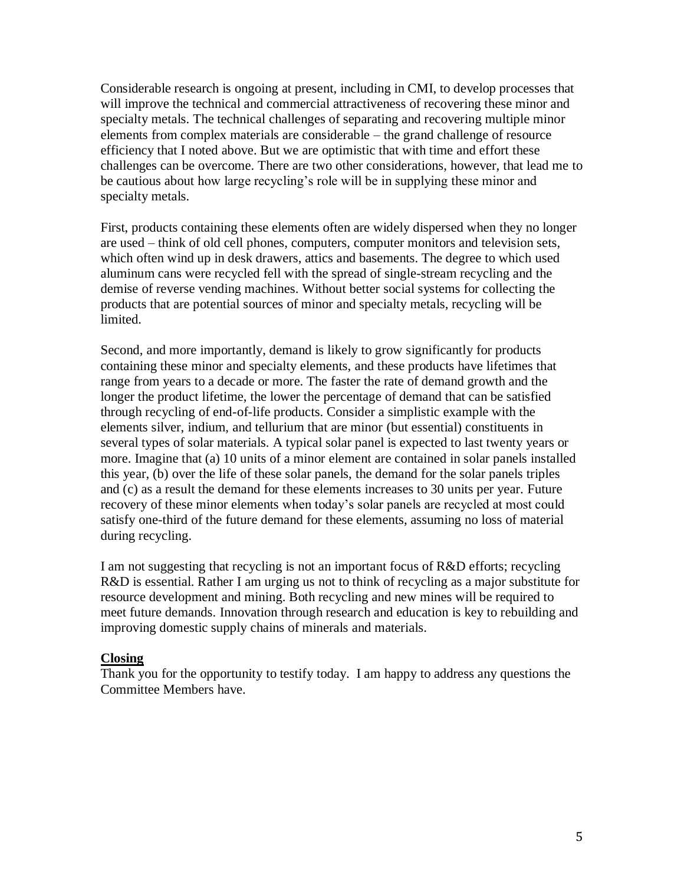Considerable research is ongoing at present, including in CMI, to develop processes that will improve the technical and commercial attractiveness of recovering these minor and specialty metals. The technical challenges of separating and recovering multiple minor elements from complex materials are considerable – the grand challenge of resource efficiency that I noted above. But we are optimistic that with time and effort these challenges can be overcome. There are two other considerations, however, that lead me to be cautious about how large recycling's role will be in supplying these minor and specialty metals.

First, products containing these elements often are widely dispersed when they no longer are used – think of old cell phones, computers, computer monitors and television sets, which often wind up in desk drawers, attics and basements. The degree to which used aluminum cans were recycled fell with the spread of single-stream recycling and the demise of reverse vending machines. Without better social systems for collecting the products that are potential sources of minor and specialty metals, recycling will be limited.

Second, and more importantly, demand is likely to grow significantly for products containing these minor and specialty elements, and these products have lifetimes that range from years to a decade or more. The faster the rate of demand growth and the longer the product lifetime, the lower the percentage of demand that can be satisfied through recycling of end-of-life products. Consider a simplistic example with the elements silver, indium, and tellurium that are minor (but essential) constituents in several types of solar materials. A typical solar panel is expected to last twenty years or more. Imagine that (a) 10 units of a minor element are contained in solar panels installed this year, (b) over the life of these solar panels, the demand for the solar panels triples and (c) as a result the demand for these elements increases to 30 units per year. Future recovery of these minor elements when today's solar panels are recycled at most could satisfy one-third of the future demand for these elements, assuming no loss of material during recycling.

I am not suggesting that recycling is not an important focus of R&D efforts; recycling R&D is essential. Rather I am urging us not to think of recycling as a major substitute for resource development and mining. Both recycling and new mines will be required to meet future demands. Innovation through research and education is key to rebuilding and improving domestic supply chains of minerals and materials.

#### **Closing**

Thank you for the opportunity to testify today. I am happy to address any questions the Committee Members have.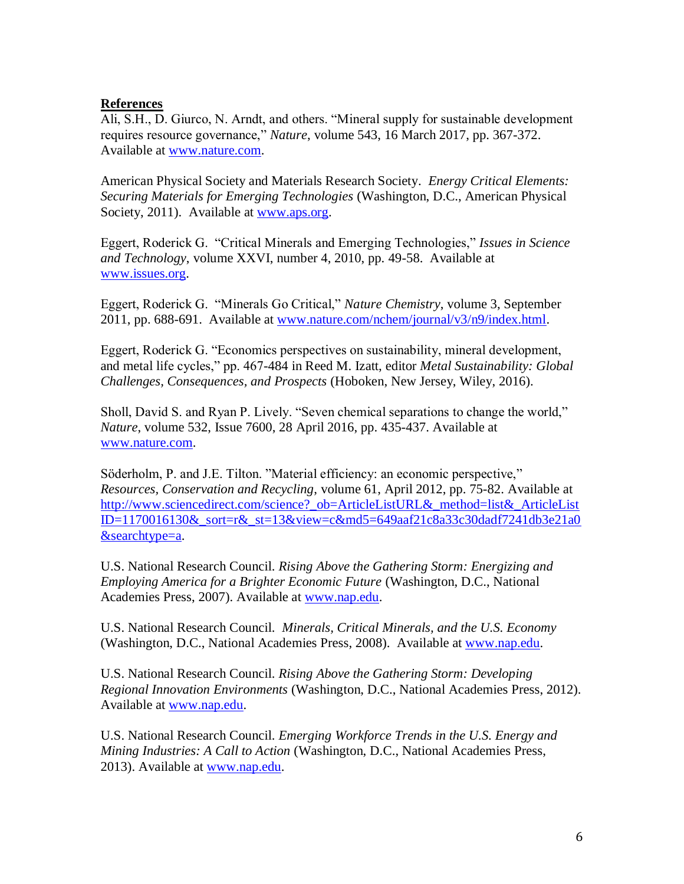## **References**

Ali, S.H., D. Giurco, N. Arndt, and others. "Mineral supply for sustainable development requires resource governance," *Nature*, volume 543, 16 March 2017, pp. 367-372. Available at [www.nature.com.](http://www.nature.com/)

American Physical Society and Materials Research Society. *Energy Critical Elements: Securing Materials for Emerging Technologies* (Washington, D.C., American Physical Society, 2011). Available at [www.aps.org.](http://www.aps.org/)

Eggert, Roderick G. "Critical Minerals and Emerging Technologies," *Issues in Science and Technology*, volume XXVI, number 4, 2010, pp. 49-58. Available at [www.issues.org.](http://www.issues.org/)

Eggert, Roderick G. "Minerals Go Critical," *Nature Chemistry*, volume 3, September 2011, pp. 688-691. Available at [www.nature.com/nchem/journal/v3/n9/index.html.](http://www.nature.com/nchem/journal/v3/n9/index.html)

Eggert, Roderick G. "Economics perspectives on sustainability, mineral development, and metal life cycles," pp. 467-484 in Reed M. Izatt, editor *Metal Sustainability: Global Challenges, Consequences, and Prospects* (Hoboken, New Jersey, Wiley, 2016).

Sholl, David S. and Ryan P. Lively. "Seven chemical separations to change the world," *Nature*, volume 532, Issue 7600, 28 April 2016, pp. 435-437. Available at [www.nature.com.](http://www.nature.com/)

Söderholm, P. and J.E. Tilton. "Material efficiency: an economic perspective," *Resources, Conservation and Recycling*, volume 61, April 2012, pp. 75-82. Available at http://www.sciencedirect.com/science? ob=ArticleListURL& method=list& ArticleList [ID=1170016130&\\_sort=r&\\_st=13&view=c&md5=649aaf21c8a33c30dadf7241db3e21a0](http://www.sciencedirect.com/science?_ob=ArticleListURL&_method=list&_ArticleListID=1170016130&_sort=r&_st=13&view=c&md5=649aaf21c8a33c30dadf7241db3e21a0&searchtype=a) [&searchtype=a.](http://www.sciencedirect.com/science?_ob=ArticleListURL&_method=list&_ArticleListID=1170016130&_sort=r&_st=13&view=c&md5=649aaf21c8a33c30dadf7241db3e21a0&searchtype=a)

U.S. National Research Council. *Rising Above the Gathering Storm: Energizing and Employing America for a Brighter Economic Future* (Washington, D.C., National Academies Press, 2007). Available at [www.nap.edu.](http://www.nap.edu/)

U.S. National Research Council. *Minerals, Critical Minerals, and the U.S. Economy* (Washington, D.C., National Academies Press, 2008). Available at [www.nap.edu.](http://www.nap.edu/)

U.S. National Research Council. *Rising Above the Gathering Storm: Developing Regional Innovation Environments* (Washington, D.C., National Academies Press, 2012). Available at [www.nap.edu.](http://www.nap.edu/)

U.S. National Research Council. *Emerging Workforce Trends in the U.S. Energy and Mining Industries: A Call to Action* (Washington, D.C., National Academies Press, 2013). Available at [www.nap.edu.](http://www.nap.edu/)